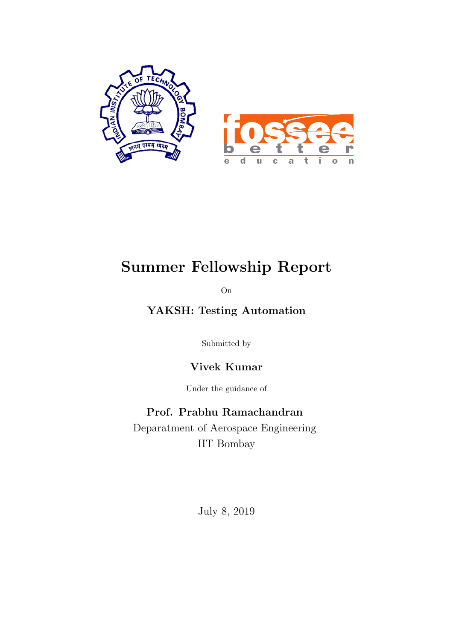

### Summer Fellowship Report

On

#### YAKSH: Testing Automation

Submitted by

Vivek Kumar

Under the guidance of

Prof. Prabhu Ramachandran Deparatment of Aerospace Engineering IIT Bombay

July 8, 2019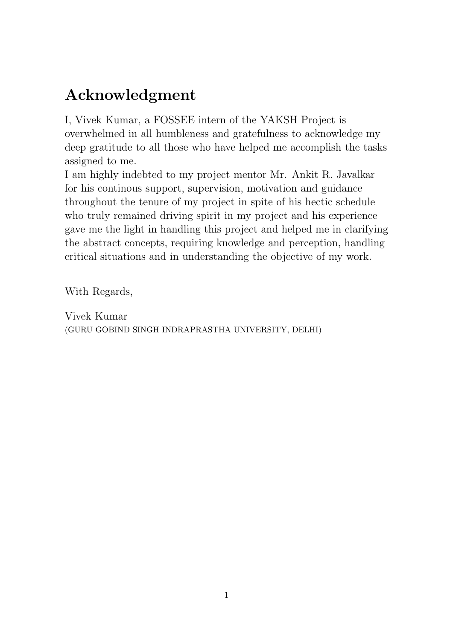### Acknowledgment

I, Vivek Kumar, a FOSSEE intern of the YAKSH Project is overwhelmed in all humbleness and gratefulness to acknowledge my deep gratitude to all those who have helped me accomplish the tasks assigned to me.

I am highly indebted to my project mentor Mr. Ankit R. Javalkar for his continous support, supervision, motivation and guidance throughout the tenure of my project in spite of his hectic schedule who truly remained driving spirit in my project and his experience gave me the light in handling this project and helped me in clarifying the abstract concepts, requiring knowledge and perception, handling critical situations and in understanding the objective of my work.

With Regards,

Vivek Kumar (GURU GOBIND SINGH INDRAPRASTHA UNIVERSITY, DELHI)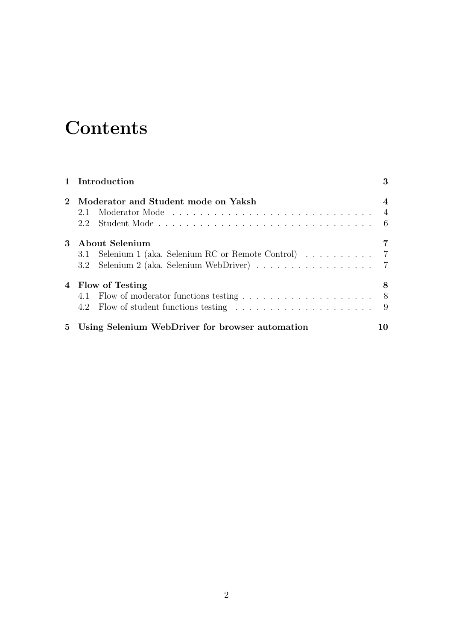## **Contents**

|         | 1 Introduction                                                          | 3              |
|---------|-------------------------------------------------------------------------|----------------|
| $2^{-}$ | Moderator and Student mode on Yaksh<br>2.2                              | $\overline{4}$ |
| $3-$    | About Selenium<br>3.1 Selenium 1 (aka. Selenium RC or Remote Control) 7 |                |
|         | 4 Flow of Testing                                                       | 8              |
|         | 5 Using Selenium WebDriver for browser automation                       | 10             |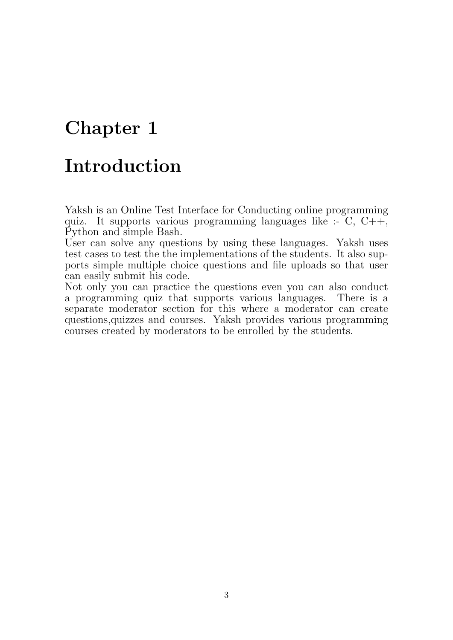#### Introduction

Yaksh is an Online Test Interface for Conducting online programming quiz. It supports various programming languages like  $\div$  C, C++, Python and simple Bash.

User can solve any questions by using these languages. Yaksh uses test cases to test the the implementations of the students. It also supports simple multiple choice questions and file uploads so that user can easily submit his code.

Not only you can practice the questions even you can also conduct a programming quiz that supports various languages. There is a separate moderator section for this where a moderator can create questions,quizzes and courses. Yaksh provides various programming courses created by moderators to be enrolled by the students.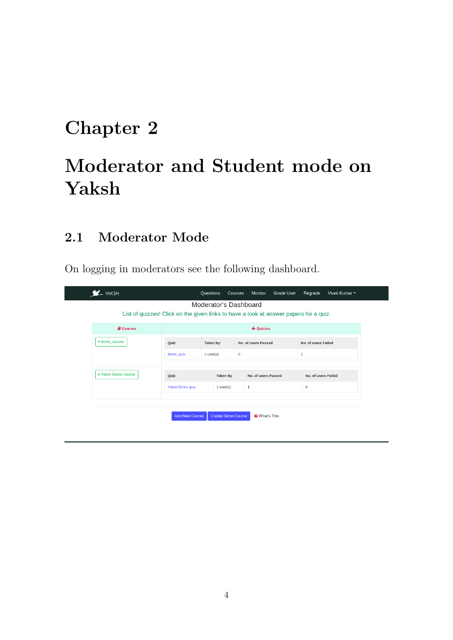# Moderator and Student mode on Yaksh

#### 2.1 Moderator Mode

On logging in moderators see the following dashboard.

| <b>LAKSH</b>                                                                          |                          | Questions | Courses               | Monitor             | <b>Grade User</b> | Regrade             | Vivek Kumar ~ |
|---------------------------------------------------------------------------------------|--------------------------|-----------|-----------------------|---------------------|-------------------|---------------------|---------------|
|                                                                                       |                          |           | Moderator's Dashboard |                     |                   |                     |               |
| List of quizzes! Click on the given links to have a look at answer papers for a quiz. |                          |           |                       |                     |                   |                     |               |
| <b>A</b> Courses                                                                      | <b>A.</b> Quizzes        |           |                       |                     |                   |                     |               |
| ▶ demo_course                                                                         | <b>Taken By</b><br>Quiz  |           | No. of users Passed   |                     |                   | No. of users Failed |               |
|                                                                                       | demo_quiz<br>$1$ user(s) |           | $\mathsf{O}\xspace$   |                     |                   | $1\,$               |               |
|                                                                                       |                          |           |                       |                     |                   |                     |               |
| ▶ Yaksh Demo course                                                                   | Quiz                     |           | Taken By              | No. of users Passed |                   | No. of users Failed |               |
|                                                                                       | Yaksh Demo quiz          |           | $1$ user(s)           | $\mathbf{1}$        |                   | 0                   |               |
|                                                                                       |                          |           |                       |                     |                   |                     |               |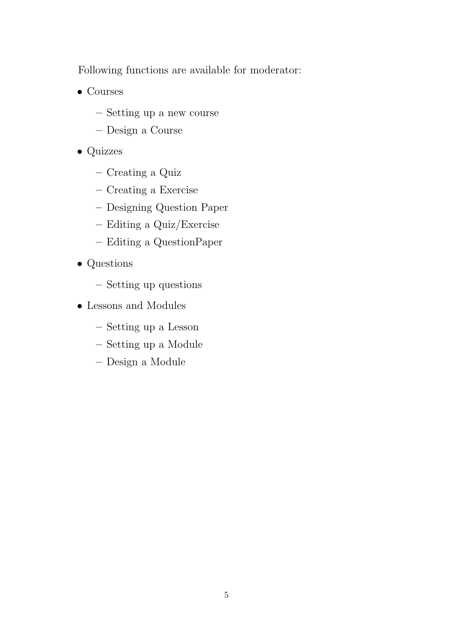Following functions are available for moderator:

- Courses
	- Setting up a new course
	- Design a Course
- Quizzes
	- Creating a Quiz
	- Creating a Exercise
	- Designing Question Paper
	- Editing a Quiz/Exercise
	- Editing a QuestionPaper
- Questions
	- Setting up questions
- Lessons and Modules
	- Setting up a Lesson
	- Setting up a Module
	- Design a Module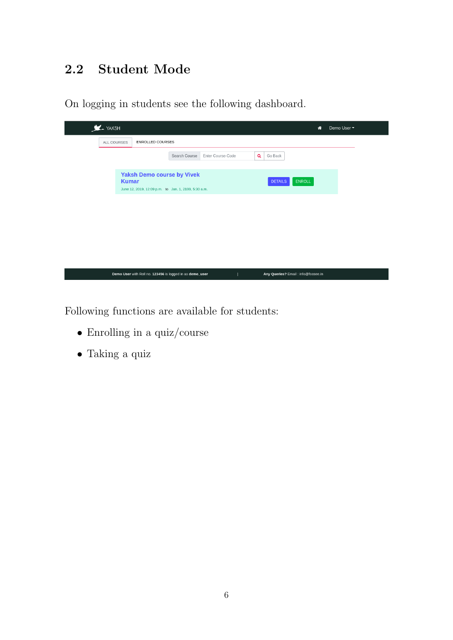#### 2.2 Student Mode

On logging in students see the following dashboard.



Following functions are available for students:

- Enrolling in a quiz/course
- Taking a quiz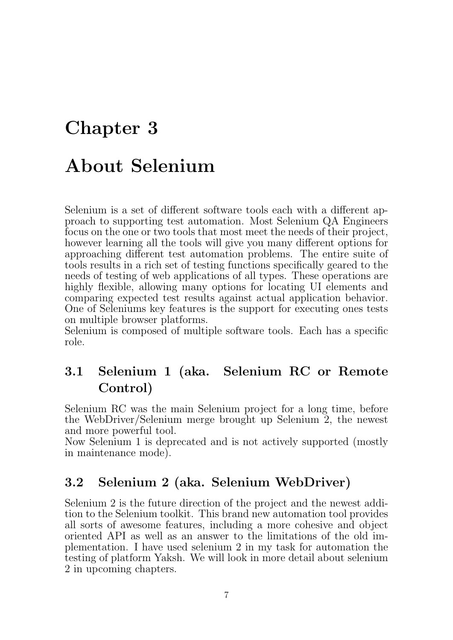### About Selenium

Selenium is a set of different software tools each with a different approach to supporting test automation. Most Selenium QA Engineers focus on the one or two tools that most meet the needs of their project, however learning all the tools will give you many different options for approaching different test automation problems. The entire suite of tools results in a rich set of testing functions specifically geared to the needs of testing of web applications of all types. These operations are highly flexible, allowing many options for locating UI elements and comparing expected test results against actual application behavior. One of Seleniums key features is the support for executing ones tests on multiple browser platforms.

Selenium is composed of multiple software tools. Each has a specific role.

#### 3.1 Selenium 1 (aka. Selenium RC or Remote Control)

Selenium RC was the main Selenium project for a long time, before the WebDriver/Selenium merge brought up Selenium 2, the newest and more powerful tool.

Now Selenium 1 is deprecated and is not actively supported (mostly in maintenance mode).

#### 3.2 Selenium 2 (aka. Selenium WebDriver)

Selenium 2 is the future direction of the project and the newest addition to the Selenium toolkit. This brand new automation tool provides all sorts of awesome features, including a more cohesive and object oriented API as well as an answer to the limitations of the old implementation. I have used selenium 2 in my task for automation the testing of platform Yaksh. We will look in more detail about selenium 2 in upcoming chapters.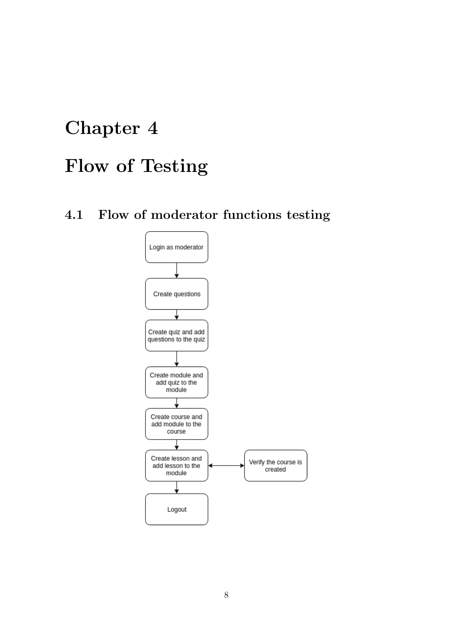## Flow of Testing

4.1 Flow of moderator functions testing

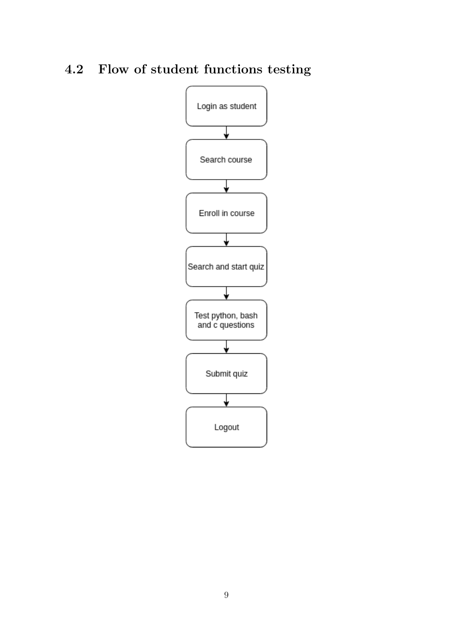#### 4.2 Flow of student functions testing

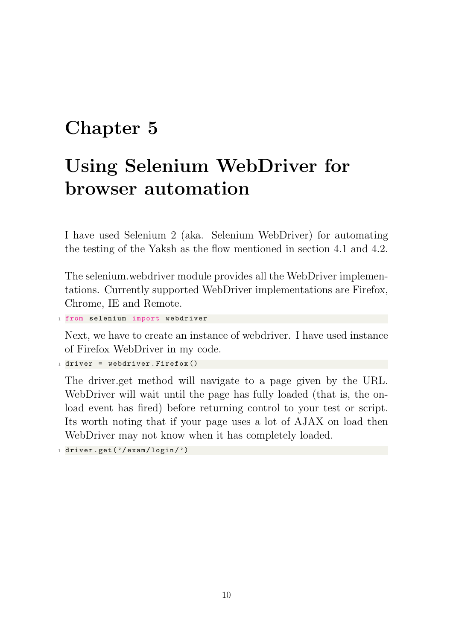# Using Selenium WebDriver for browser automation

I have used Selenium 2 (aka. Selenium WebDriver) for automating the testing of the Yaksh as the flow mentioned in section 4.1 and 4.2.

The selenium.webdriver module provides all the WebDriver implementations. Currently supported WebDriver implementations are Firefox, Chrome, IE and Remote.

```
1 from selenium import webdriver
```
Next, we have to create an instance of webdriver. I have used instance of Firefox WebDriver in my code.

```
1 driver = webdriver Firefox ()
```
The driver.get method will navigate to a page given by the URL. WebDriver will wait until the page has fully loaded (that is, the onload event has fired) before returning control to your test or script. Its worth noting that if your page uses a lot of AJAX on load then WebDriver may not know when it has completely loaded.

```
1 driver.get ('/exam/login/')
```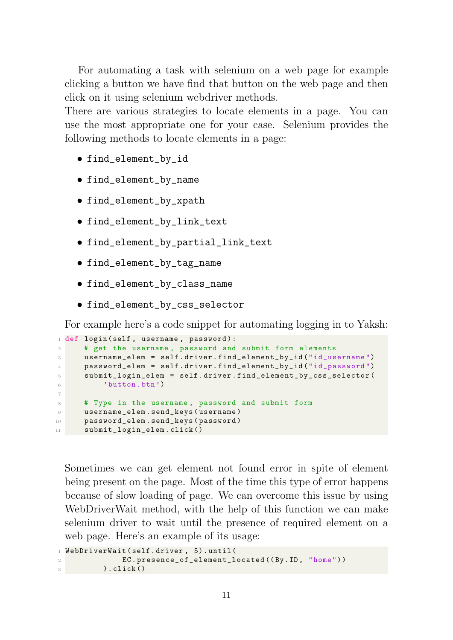For automating a task with selenium on a web page for example clicking a button we have find that button on the web page and then click on it using selenium webdriver methods.

There are various strategies to locate elements in a page. You can use the most appropriate one for your case. Selenium provides the following methods to locate elements in a page:

- find\_element\_by\_id
- find\_element\_by\_name
- find\_element\_by\_xpath
- find\_element\_by\_link\_text
- find\_element\_by\_partial\_link\_text
- find\_element\_by\_tag\_name
- find\_element\_by\_class\_name
- find\_element\_by\_css\_selector

For example here's a code snippet for automating logging in to Yaksh:

```
1 def login ( self, username, password ) :
2 # get the username , password and submit form elements
3 username_elem = self . driver . find_element_by_id (" id_username ")
4 password_elem = self . driver . find_element_by_id (" id_password ")
5 submit_login_elem = self . driver . find_element_by_css_selector (
6 'button.btn')
7
8 # Type in the username , password and submit form
9 username_elem . send_keys ( username )
10 password_elem.send_keys (password)
11 submit_login_elem . click ()
```
Sometimes we can get element not found error in spite of element being present on the page. Most of the time this type of error happens because of slow loading of page. We can overcome this issue by using WebDriverWait method, with the help of this function we can make selenium driver to wait until the presence of required element on a web page. Here's an example of its usage:

<sup>1</sup> WebDriverWait ( self . driver , 5) . until ( EC.presence\_of\_element\_located ((By.ID, "home"))  $)$ . click $()$